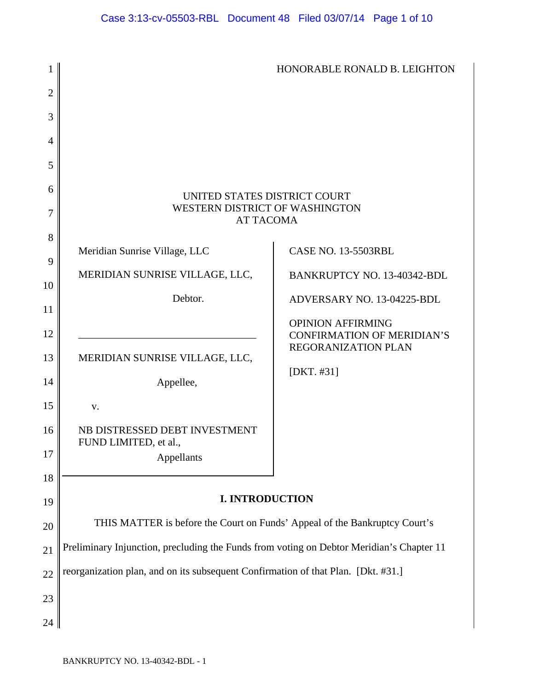|                |                                                                                          | HONORABLE RONALD B. LEIGHTON                                                         |
|----------------|------------------------------------------------------------------------------------------|--------------------------------------------------------------------------------------|
| $\overline{2}$ |                                                                                          |                                                                                      |
| 3              |                                                                                          |                                                                                      |
| 4              |                                                                                          |                                                                                      |
| 5              |                                                                                          |                                                                                      |
| 6<br>7         | UNITED STATES DISTRICT COURT<br>WESTERN DISTRICT OF WASHINGTON<br><b>AT TACOMA</b>       |                                                                                      |
| 8<br>9         | Meridian Sunrise Village, LLC                                                            | <b>CASE NO. 13-5503RBL</b>                                                           |
| 10             | MERIDIAN SUNRISE VILLAGE, LLC,                                                           | BANKRUPTCY NO. 13-40342-BDL                                                          |
| 11             | Debtor.                                                                                  | ADVERSARY NO. 13-04225-BDL                                                           |
| 12             |                                                                                          | <b>OPINION AFFIRMING</b><br><b>CONFIRMATION OF MERIDIAN'S</b><br>REGORANIZATION PLAN |
| 13             | MERIDIAN SUNRISE VILLAGE, LLC,                                                           | [DKT. $#31$ ]                                                                        |
| 14             | Appellee,                                                                                |                                                                                      |
| 15             | V.                                                                                       |                                                                                      |
| 16             | NB DISTRESSED DEBT INVESTMENT<br>FUND LIMITED, et al.,                                   |                                                                                      |
| 17             | Appellants                                                                               |                                                                                      |
| 18             |                                                                                          |                                                                                      |
| 19             | <b>I. INTRODUCTION</b>                                                                   |                                                                                      |
| 20             | THIS MATTER is before the Court on Funds' Appeal of the Bankruptcy Court's               |                                                                                      |
| 21             | Preliminary Injunction, precluding the Funds from voting on Debtor Meridian's Chapter 11 |                                                                                      |
| 22             | reorganization plan, and on its subsequent Confirmation of that Plan. [Dkt. #31.]        |                                                                                      |
| 23             |                                                                                          |                                                                                      |
| 24             |                                                                                          |                                                                                      |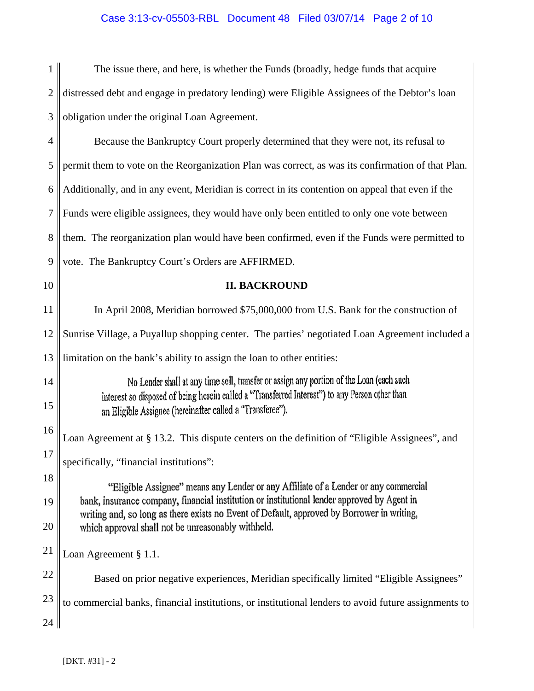# Case 3:13-cv-05503-RBL Document 48 Filed 03/07/14 Page 2 of 10

| 1              | The issue there, and here, is whether the Funds (broadly, hedge funds that acquire                                                                                                        |
|----------------|-------------------------------------------------------------------------------------------------------------------------------------------------------------------------------------------|
| $\overline{2}$ | distressed debt and engage in predatory lending) were Eligible Assignees of the Debtor's loan                                                                                             |
| 3              | obligation under the original Loan Agreement.                                                                                                                                             |
| $\overline{4}$ | Because the Bankruptcy Court properly determined that they were not, its refusal to                                                                                                       |
| 5              | permit them to vote on the Reorganization Plan was correct, as was its confirmation of that Plan.                                                                                         |
| 6              | Additionally, and in any event, Meridian is correct in its contention on appeal that even if the                                                                                          |
| 7              | Funds were eligible assignees, they would have only been entitled to only one vote between                                                                                                |
| 8              | them. The reorganization plan would have been confirmed, even if the Funds were permitted to                                                                                              |
| 9              | vote. The Bankruptcy Court's Orders are AFFIRMED.                                                                                                                                         |
| 10             | <b>II. BACKROUND</b>                                                                                                                                                                      |
| 11             | In April 2008, Meridian borrowed \$75,000,000 from U.S. Bank for the construction of                                                                                                      |
| 12             | Sunrise Village, a Puyallup shopping center. The parties' negotiated Loan Agreement included a                                                                                            |
| 13             | limitation on the bank's ability to assign the loan to other entities:                                                                                                                    |
| 14<br>15       | No Lender shall at any time sell, transfer or assign any portion of the Loan (each such<br>interest so disposed of being herein called a "Transferred Interest") to any Person other than |
| 16             | an Eligible Assignee (hereinafter called a "Transferee").                                                                                                                                 |
| 17             | Loan Agreement at § 13.2. This dispute centers on the definition of "Eligible Assignees", and                                                                                             |
| 18             | specifically, "financial institutions":                                                                                                                                                   |
| 19             | "Eligible Assignee" means any Lender or any Affiliate of a Lender or any commercial<br>bank, insurance company, financial institution or institutional lender approved by Agent in        |
| 20             | writing and, so long as there exists no Event of Default, approved by Borrower in writing,<br>which approval shall not be unreasonably withheld.                                          |
| 21             | Loan Agreement § 1.1.                                                                                                                                                                     |
| 22             | Based on prior negative experiences, Meridian specifically limited "Eligible Assignees"                                                                                                   |
| 23             | to commercial banks, financial institutions, or institutional lenders to avoid future assignments to                                                                                      |
| 24             |                                                                                                                                                                                           |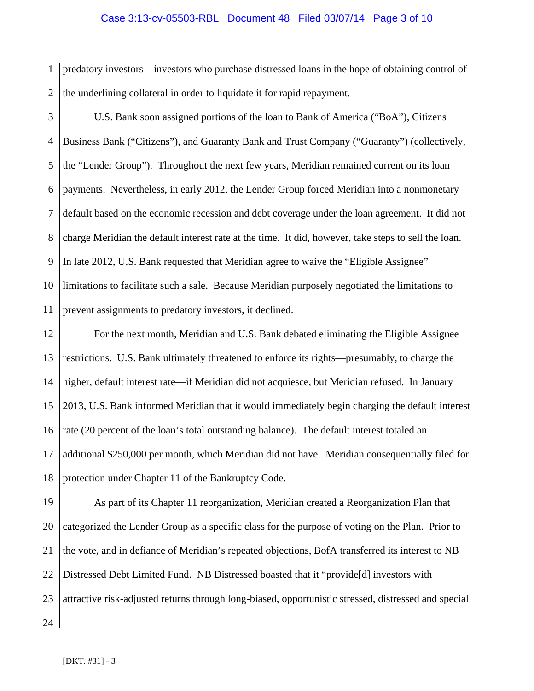# Case 3:13-cv-05503-RBL Document 48 Filed 03/07/14 Page 3 of 10

1  $\mathcal{D}_{\mathcal{L}}$ predatory investors—investors who purchase distressed loans in the hope of obtaining control of the underlining collateral in order to liquidate it for rapid repayment.

3 4 5 6 7 8 9 10 11 U.S. Bank soon assigned portions of the loan to Bank of America ("BoA"), Citizens Business Bank ("Citizens"), and Guaranty Bank and Trust Company ("Guaranty") (collectively, the "Lender Group"). Throughout the next few years, Meridian remained current on its loan payments. Nevertheless, in early 2012, the Lender Group forced Meridian into a nonmonetary default based on the economic recession and debt coverage under the loan agreement. It did not charge Meridian the default interest rate at the time. It did, however, take steps to sell the loan. In late 2012, U.S. Bank requested that Meridian agree to waive the "Eligible Assignee" limitations to facilitate such a sale. Because Meridian purposely negotiated the limitations to prevent assignments to predatory investors, it declined.

12 13 14 15 16 17 18 For the next month, Meridian and U.S. Bank debated eliminating the Eligible Assignee restrictions. U.S. Bank ultimately threatened to enforce its rights—presumably, to charge the higher, default interest rate—if Meridian did not acquiesce, but Meridian refused. In January 2013, U.S. Bank informed Meridian that it would immediately begin charging the default interest rate (20 percent of the loan's total outstanding balance). The default interest totaled an additional \$250,000 per month, which Meridian did not have. Meridian consequentially filed for protection under Chapter 11 of the Bankruptcy Code.

19 20 21 22 23 24 As part of its Chapter 11 reorganization, Meridian created a Reorganization Plan that categorized the Lender Group as a specific class for the purpose of voting on the Plan. Prior to the vote, and in defiance of Meridian's repeated objections, BofA transferred its interest to NB Distressed Debt Limited Fund. NB Distressed boasted that it "provide[d] investors with attractive risk-adjusted returns through long-biased, opportunistic stressed, distressed and special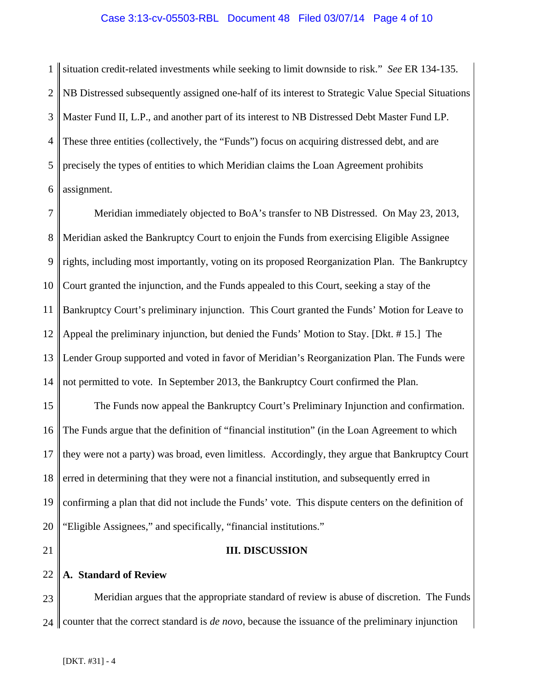# Case 3:13-cv-05503-RBL Document 48 Filed 03/07/14 Page 4 of 10

1  $\mathcal{D}_{\mathcal{L}}$ 3 4 5 6 situation credit-related investments while seeking to limit downside to risk." *See* ER 134-135. NB Distressed subsequently assigned one-half of its interest to Strategic Value Special Situations Master Fund II, L.P., and another part of its interest to NB Distressed Debt Master Fund LP. These three entities (collectively, the "Funds") focus on acquiring distressed debt, and are precisely the types of entities to which Meridian claims the Loan Agreement prohibits assignment.

7 8 9 10 11 12 13 14 Meridian immediately objected to BoA's transfer to NB Distressed. On May 23, 2013, Meridian asked the Bankruptcy Court to enjoin the Funds from exercising Eligible Assignee rights, including most importantly, voting on its proposed Reorganization Plan. The Bankruptcy Court granted the injunction, and the Funds appealed to this Court, seeking a stay of the Bankruptcy Court's preliminary injunction. This Court granted the Funds' Motion for Leave to Appeal the preliminary injunction, but denied the Funds' Motion to Stay. [Dkt. # 15.] The Lender Group supported and voted in favor of Meridian's Reorganization Plan. The Funds were not permitted to vote. In September 2013, the Bankruptcy Court confirmed the Plan.

15 16 17 18 19 20 The Funds now appeal the Bankruptcy Court's Preliminary Injunction and confirmation. The Funds argue that the definition of "financial institution" (in the Loan Agreement to which they were not a party) was broad, even limitless. Accordingly, they argue that Bankruptcy Court erred in determining that they were not a financial institution, and subsequently erred in confirming a plan that did not include the Funds' vote. This dispute centers on the definition of "Eligible Assignees," and specifically, "financial institutions."

21

## **III. DISCUSSION**

#### 22 **A. Standard of Review**

23 24 Meridian argues that the appropriate standard of review is abuse of discretion. The Funds counter that the correct standard is *de novo*, because the issuance of the preliminary injunction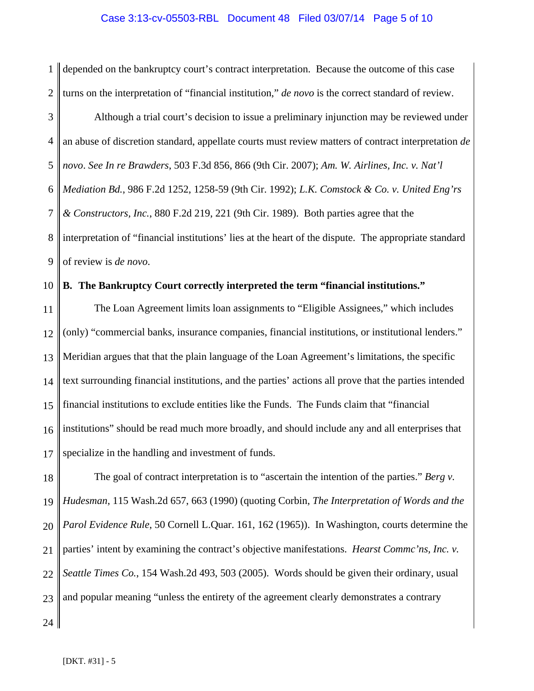### Case 3:13-cv-05503-RBL Document 48 Filed 03/07/14 Page 5 of 10

1  $\mathcal{D}_{\mathcal{L}}$ depended on the bankruptcy court's contract interpretation. Because the outcome of this case turns on the interpretation of "financial institution," *de novo* is the correct standard of review.

3 4 5 6 7 8 9 Although a trial court's decision to issue a preliminary injunction may be reviewed under an abuse of discretion standard, appellate courts must review matters of contract interpretation *de novo*. *See In re Brawders*, 503 F.3d 856, 866 (9th Cir. 2007); *Am. W. Airlines, Inc. v. Nat'l Mediation Bd.*, 986 F.2d 1252, 1258-59 (9th Cir. 1992); *L.K. Comstock & Co. v. United Eng'rs & Constructors, Inc.*, 880 F.2d 219, 221 (9th Cir. 1989). Both parties agree that the interpretation of "financial institutions' lies at the heart of the dispute. The appropriate standard of review is *de novo*.

#### 10 **B. The Bankruptcy Court correctly interpreted the term "financial institutions."**

11 12 13 14 15 16 17 The Loan Agreement limits loan assignments to "Eligible Assignees," which includes (only) "commercial banks, insurance companies, financial institutions, or institutional lenders." Meridian argues that that the plain language of the Loan Agreement's limitations, the specific text surrounding financial institutions, and the parties' actions all prove that the parties intended financial institutions to exclude entities like the Funds. The Funds claim that "financial institutions" should be read much more broadly, and should include any and all enterprises that specialize in the handling and investment of funds.

18 19 20 21 22 23 The goal of contract interpretation is to "ascertain the intention of the parties." *Berg v. Hudesman*, 115 Wash.2d 657, 663 (1990) (quoting Corbin, *The Interpretation of Words and the Parol Evidence Rule*, 50 Cornell L.Quar. 161, 162 (1965)). In Washington, courts determine the parties' intent by examining the contract's objective manifestations. *Hearst Commc'ns, Inc. v. Seattle Times Co.*, 154 Wash.2d 493, 503 (2005). Words should be given their ordinary, usual and popular meaning "unless the entirety of the agreement clearly demonstrates a contrary

24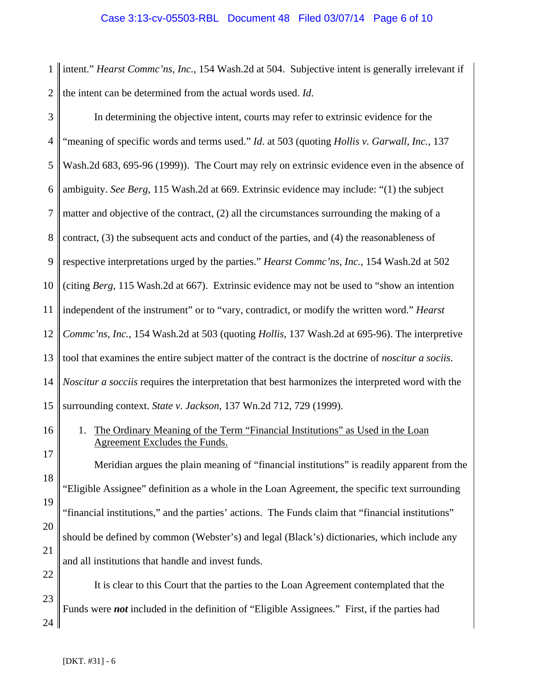1 | intent." *Hearst Commc'ns, Inc.,* 154 Wash.2d at 504. Subjective intent is generally irrelevant if  $\frac{2}{ }$ the intent can be determined from the actual words used. *Id*.

| 3              | In determining the objective intent, courts may refer to extrinsic evidence for the                                                |
|----------------|------------------------------------------------------------------------------------------------------------------------------------|
| $\overline{4}$ | "meaning of specific words and terms used." Id. at 503 (quoting Hollis v. Garwall, Inc., 137                                       |
| 5              | Wash.2d 683, 695-96 (1999)). The Court may rely on extrinsic evidence even in the absence of                                       |
| 6              | ambiguity. See Berg, 115 Wash.2d at 669. Extrinsic evidence may include: "(1) the subject                                          |
| 7              | matter and objective of the contract, (2) all the circumstances surrounding the making of a                                        |
| 8              | contract, (3) the subsequent acts and conduct of the parties, and (4) the reasonableness of                                        |
| 9              | respective interpretations urged by the parties." <i>Hearst Commc'ns</i> , Inc., 154 Wash.2d at 502                                |
| 10             | (citing Berg, 115 Wash.2d at 667). Extrinsic evidence may not be used to "show an intention"                                       |
| 11             | independent of the instrument" or to "vary, contradict, or modify the written word." Hearst                                        |
| 12             | Commc'ns, Inc., 154 Wash.2d at 503 (quoting Hollis, 137 Wash.2d at 695-96). The interpretive                                       |
| 13             | tool that examines the entire subject matter of the contract is the doctrine of <i>noscitur a sociis</i> .                         |
| 14             | <i>Noscitur a socciis</i> requires the interpretation that best harmonizes the interpreted word with the                           |
| 15             | surrounding context. State v. Jackson, 137 Wn.2d 712, 729 (1999).                                                                  |
| 16             | The Ordinary Meaning of the Term "Financial Institutions" as Used in the Loan<br>1.                                                |
| 17             | <b>Agreement Excludes the Funds.</b><br>Meridian argues the plain meaning of "financial institutions" is readily apparent from the |
| 18             | "Eligible Assignee" definition as a whole in the Loan Agreement, the specific text surrounding                                     |
| 19             |                                                                                                                                    |
| 20             | "financial institutions," and the parties' actions. The Funds claim that "financial institutions"                                  |
| 21             | should be defined by common (Webster's) and legal (Black's) dictionaries, which include any                                        |
| 22             | and all institutions that handle and invest funds.                                                                                 |
| 23             | It is clear to this Court that the parties to the Loan Agreement contemplated that the                                             |

Funds were *not* included in the definition of "Eligible Assignees." First, if the parties had II

 $24$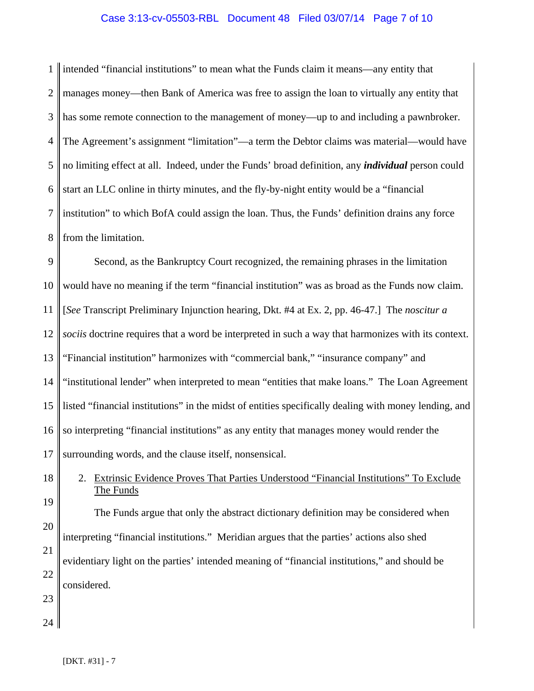# Case 3:13-cv-05503-RBL Document 48 Filed 03/07/14 Page 7 of 10

1  $\mathcal{D}_{\mathcal{L}}$ 3 4 5 6 7 8 intended "financial institutions" to mean what the Funds claim it means—any entity that manages money—then Bank of America was free to assign the loan to virtually any entity that has some remote connection to the management of money—up to and including a pawnbroker. The Agreement's assignment "limitation"—a term the Debtor claims was material—would have no limiting effect at all. Indeed, under the Funds' broad definition, any *individual* person could start an LLC online in thirty minutes, and the fly-by-night entity would be a "financial institution" to which BofA could assign the loan. Thus, the Funds' definition drains any force from the limitation.

9 10 11 12 13 14 15 16 17 Second, as the Bankruptcy Court recognized, the remaining phrases in the limitation would have no meaning if the term "financial institution" was as broad as the Funds now claim. [*See* Transcript Preliminary Injunction hearing, Dkt. #4 at Ex. 2, pp. 46-47.] The *noscitur a sociis* doctrine requires that a word be interpreted in such a way that harmonizes with its context. "Financial institution" harmonizes with "commercial bank," "insurance company" and "institutional lender" when interpreted to mean "entities that make loans." The Loan Agreement listed "financial institutions" in the midst of entities specifically dealing with money lending, and so interpreting "financial institutions" as any entity that manages money would render the surrounding words, and the clause itself, nonsensical.

18 19

20

21

22

2. Extrinsic Evidence Proves That Parties Understood "Financial Institutions" To Exclude The Funds

The Funds argue that only the abstract dictionary definition may be considered when interpreting "financial institutions." Meridian argues that the parties' actions also shed evidentiary light on the parties' intended meaning of "financial institutions," and should be considered.

- 23
- 24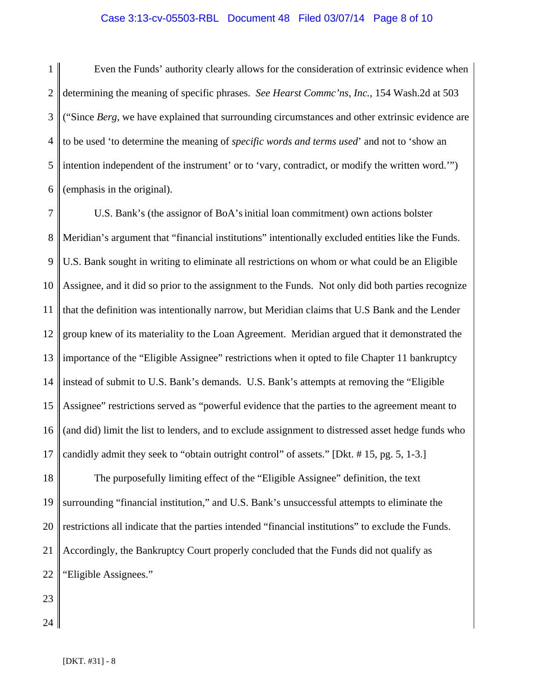### Case 3:13-cv-05503-RBL Document 48 Filed 03/07/14 Page 8 of 10

1 2 3 4 5 6 Even the Funds' authority clearly allows for the consideration of extrinsic evidence when determining the meaning of specific phrases. *See Hearst Commc'ns, Inc.*, 154 Wash.2d at 503 ("Since *Berg*, we have explained that surrounding circumstances and other extrinsic evidence are to be used 'to determine the meaning of *specific words and terms used*' and not to 'show an intention independent of the instrument' or to 'vary, contradict, or modify the written word.'") (emphasis in the original).

7 8 9 10 11 12 13 14 15 16 17 U.S. Bank's (the assignor of BoA'sinitial loan commitment) own actions bolster Meridian's argument that "financial institutions" intentionally excluded entities like the Funds. U.S. Bank sought in writing to eliminate all restrictions on whom or what could be an Eligible Assignee, and it did so prior to the assignment to the Funds. Not only did both parties recognize that the definition was intentionally narrow, but Meridian claims that U.S Bank and the Lender group knew of its materiality to the Loan Agreement. Meridian argued that it demonstrated the importance of the "Eligible Assignee" restrictions when it opted to file Chapter 11 bankruptcy instead of submit to U.S. Bank's demands. U.S. Bank's attempts at removing the "Eligible Assignee" restrictions served as "powerful evidence that the parties to the agreement meant to (and did) limit the list to lenders, and to exclude assignment to distressed asset hedge funds who candidly admit they seek to "obtain outright control" of assets." [Dkt. # 15, pg. 5, 1-3.]

18 19 20 21 22 The purposefully limiting effect of the "Eligible Assignee" definition, the text surrounding "financial institution," and U.S. Bank's unsuccessful attempts to eliminate the restrictions all indicate that the parties intended "financial institutions" to exclude the Funds. Accordingly, the Bankruptcy Court properly concluded that the Funds did not qualify as "Eligible Assignees."

23

24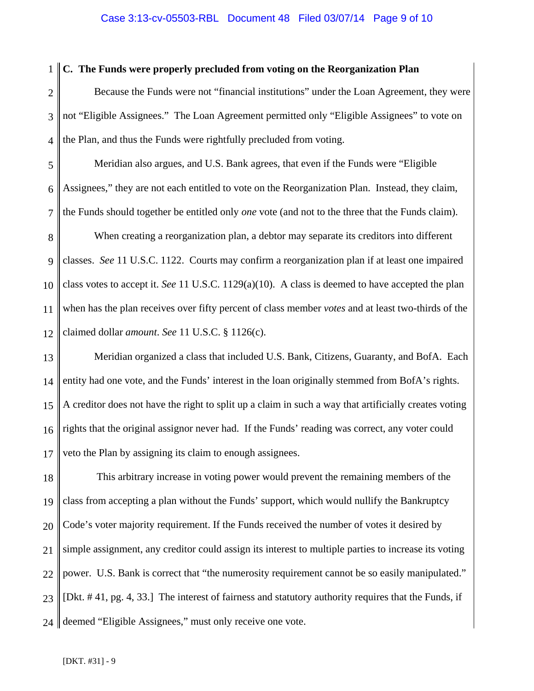### Case 3:13-cv-05503-RBL Document 48 Filed 03/07/14 Page 9 of 10

#### 1 **C. The Funds were properly precluded from voting on the Reorganization Plan**

 $\mathcal{D}_{\mathcal{L}}$ 3 4 Because the Funds were not "financial institutions" under the Loan Agreement, they were not "Eligible Assignees." The Loan Agreement permitted only "Eligible Assignees" to vote on the Plan, and thus the Funds were rightfully precluded from voting.

5 6 7 Meridian also argues, and U.S. Bank agrees, that even if the Funds were "Eligible Assignees," they are not each entitled to vote on the Reorganization Plan. Instead, they claim, the Funds should together be entitled only *one* vote (and not to the three that the Funds claim).

8 9 10 11 12 When creating a reorganization plan, a debtor may separate its creditors into different classes. *See* 11 U.S.C. 1122. Courts may confirm a reorganization plan if at least one impaired class votes to accept it. *See* 11 U.S.C. 1129(a)(10). A class is deemed to have accepted the plan when has the plan receives over fifty percent of class member *votes* and at least two-thirds of the claimed dollar *amount*. *See* 11 U.S.C. § 1126(c).

13 14 15 16 17 Meridian organized a class that included U.S. Bank, Citizens, Guaranty, and BofA. Each entity had one vote, and the Funds' interest in the loan originally stemmed from BofA's rights. A creditor does not have the right to split up a claim in such a way that artificially creates voting rights that the original assignor never had. If the Funds' reading was correct, any voter could veto the Plan by assigning its claim to enough assignees.

18 19 20 21 22 23 24 This arbitrary increase in voting power would prevent the remaining members of the class from accepting a plan without the Funds' support, which would nullify the Bankruptcy Code's voter majority requirement. If the Funds received the number of votes it desired by simple assignment, any creditor could assign its interest to multiple parties to increase its voting power. U.S. Bank is correct that "the numerosity requirement cannot be so easily manipulated." [Dkt. # 41, pg. 4, 33.] The interest of fairness and statutory authority requires that the Funds, if deemed "Eligible Assignees," must only receive one vote.

[DKT. #31] - 9